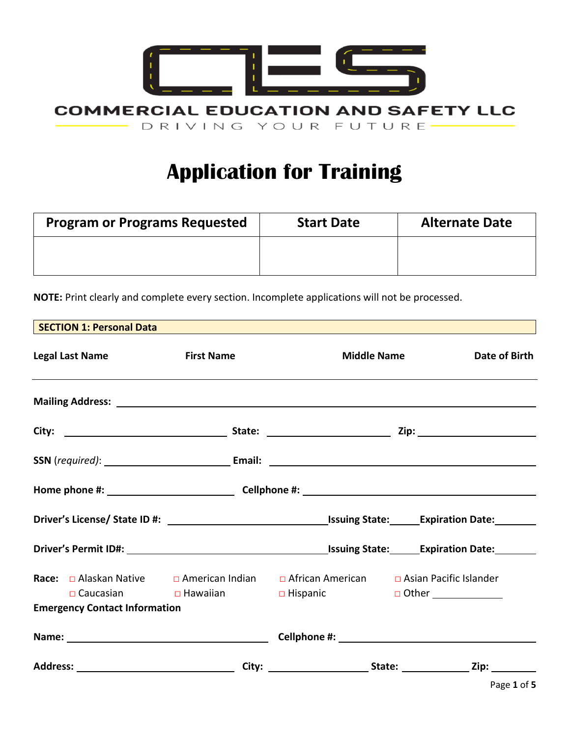

# **Application for Training**

| <b>Program or Programs Requested</b> | <b>Start Date</b> | <b>Alternate Date</b> |
|--------------------------------------|-------------------|-----------------------|
|                                      |                   |                       |
|                                      |                   |                       |

**NOTE:** Print clearly and complete every section. Incomplete applications will not be processed.

| SECTION 1: Personal Data <b>Andrea</b> Maria Andrea Maria Andrea Maria Andrea Maria Andrea Maria Andrea Maria Andrea<br>Nota |                             |                                                                               |                                                                                                      |
|------------------------------------------------------------------------------------------------------------------------------|-----------------------------|-------------------------------------------------------------------------------|------------------------------------------------------------------------------------------------------|
| <b>Legal Last Name</b><br>,我们也不会有什么?""我们的人,我们也不会有什么?""我们的人,我们也不会有什么?""我们的人,我们也不会有什么?""我们的人,我们也不会有什么?""我们的人                   | <b>Example 1 First Name</b> |                                                                               | Date of Birth<br><b>Middle Name</b>                                                                  |
|                                                                                                                              |                             |                                                                               |                                                                                                      |
|                                                                                                                              |                             |                                                                               |                                                                                                      |
|                                                                                                                              |                             |                                                                               |                                                                                                      |
|                                                                                                                              |                             |                                                                               |                                                                                                      |
|                                                                                                                              |                             |                                                                               |                                                                                                      |
|                                                                                                                              |                             |                                                                               | Driver's Permit ID#: 1990 1990 1990 1990 1991 1991 1992 15 Suing State: 1991 1991 1992 1994 1994 199 |
| Race: □ Alaskan Native □ American Indian □ African American □ Asian Pacific Islander                                         |                             | □ Caucasian      □ Hawaiian       □ Hispanic         □ Other ________________ |                                                                                                      |
| <b>Emergency Contact Information</b>                                                                                         |                             |                                                                               |                                                                                                      |
|                                                                                                                              |                             |                                                                               |                                                                                                      |
|                                                                                                                              |                             |                                                                               | .                                                                                                    |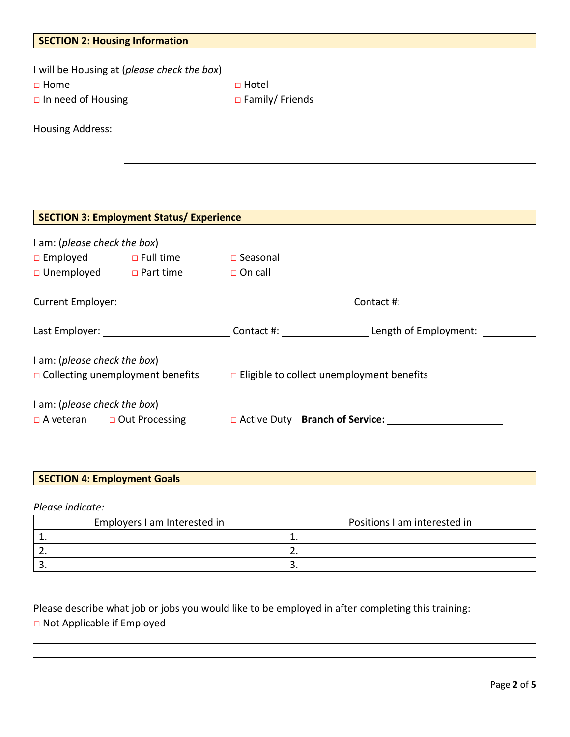| <b>SECTION 2: Housing Information</b><br>a sa mga bagayan ng mga bagayang ng mga bagayang ng mga bagayang ng mga bagayang ng mga bagayang ng mga bagaya |                                                 |                                                                                                                       |                                                                                                                |  |
|---------------------------------------------------------------------------------------------------------------------------------------------------------|-------------------------------------------------|-----------------------------------------------------------------------------------------------------------------------|----------------------------------------------------------------------------------------------------------------|--|
|                                                                                                                                                         |                                                 |                                                                                                                       |                                                                                                                |  |
|                                                                                                                                                         | I will be Housing at (please check the box)     |                                                                                                                       |                                                                                                                |  |
| $\Box$ Home                                                                                                                                             |                                                 | $\Box$ Hotel                                                                                                          |                                                                                                                |  |
| $\Box$ In need of Housing                                                                                                                               |                                                 | $\Box$ Family/ Friends                                                                                                |                                                                                                                |  |
|                                                                                                                                                         |                                                 |                                                                                                                       |                                                                                                                |  |
| <b>Housing Address:</b>                                                                                                                                 |                                                 | <u> 1989 - Johann Stoff, deutscher Stoff, der Stoff, der Stoff, der Stoff, der Stoff, der Stoff, der Stoff, der S</u> |                                                                                                                |  |
|                                                                                                                                                         |                                                 |                                                                                                                       |                                                                                                                |  |
|                                                                                                                                                         |                                                 |                                                                                                                       |                                                                                                                |  |
|                                                                                                                                                         |                                                 |                                                                                                                       |                                                                                                                |  |
|                                                                                                                                                         |                                                 |                                                                                                                       |                                                                                                                |  |
|                                                                                                                                                         |                                                 |                                                                                                                       |                                                                                                                |  |
|                                                                                                                                                         | <b>SECTION 3: Employment Status/ Experience</b> |                                                                                                                       |                                                                                                                |  |
| I am: (please check the box)                                                                                                                            |                                                 |                                                                                                                       |                                                                                                                |  |
|                                                                                                                                                         | □ Employed □ Full time □ Seasonal               |                                                                                                                       |                                                                                                                |  |
|                                                                                                                                                         | □ Unemployed □ Part time □ On call              |                                                                                                                       |                                                                                                                |  |
|                                                                                                                                                         |                                                 |                                                                                                                       |                                                                                                                |  |
|                                                                                                                                                         |                                                 |                                                                                                                       |                                                                                                                |  |
|                                                                                                                                                         |                                                 |                                                                                                                       |                                                                                                                |  |
|                                                                                                                                                         |                                                 |                                                                                                                       | Last Employer: _______________________________Contact #: ______________________Length of Employment: _________ |  |
|                                                                                                                                                         |                                                 |                                                                                                                       |                                                                                                                |  |
| I am: (please check the box)                                                                                                                            |                                                 |                                                                                                                       |                                                                                                                |  |
| $\Box$ Collecting unemployment benefits $\Box$ Eligible to collect unemployment benefits                                                                |                                                 |                                                                                                                       |                                                                                                                |  |
|                                                                                                                                                         |                                                 |                                                                                                                       |                                                                                                                |  |
| I am: (please check the box)                                                                                                                            |                                                 |                                                                                                                       |                                                                                                                |  |
|                                                                                                                                                         |                                                 |                                                                                                                       | □ A veteran □ Out Processing □ Active Duty Branch of Service:                                                  |  |

# **SECTION 4: Employment Goals**

*Please indicate:* 

| Employers I am Interested in | Positions I am interested in |
|------------------------------|------------------------------|
|                              |                              |
| <u>.</u> .                   | <u>.</u>                     |
|                              | Ð                            |

Please describe what job or jobs you would like to be employed in after completing this training: □ Not Applicable if Employed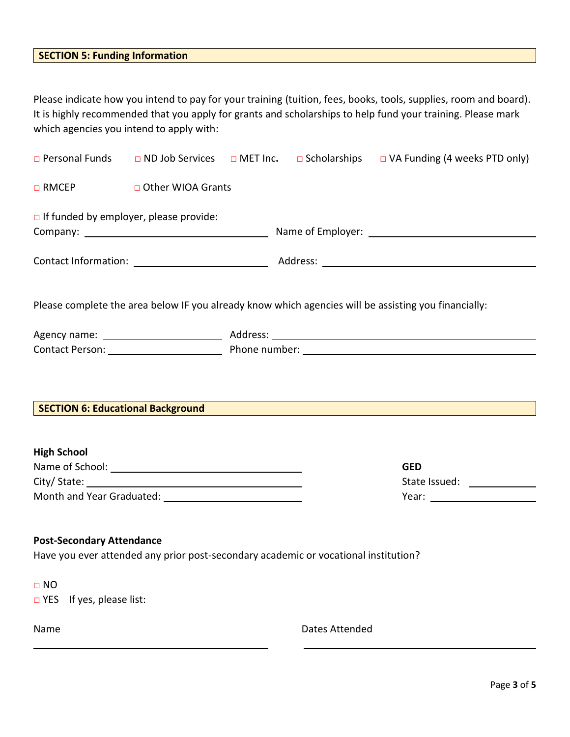## **SECTION 5: Funding Information**

Please indicate how you intend to pay for your training (tuition, fees, books, tools, supplies, room and board). It is highly recommended that you apply for grants and scholarships to help fund your training. Please mark which agencies you intend to apply with:

|                                  |                                                                                     |                | $\Box$ Personal Funds $\Box$ ND Job Services $\Box$ MET Inc. $\Box$ Scholarships $\Box$ VA Funding (4 weeks PTD only)                                                                                                                              |
|----------------------------------|-------------------------------------------------------------------------------------|----------------|----------------------------------------------------------------------------------------------------------------------------------------------------------------------------------------------------------------------------------------------------|
|                                  | □ RMCEP □ Other WIOA Grants                                                         |                |                                                                                                                                                                                                                                                    |
|                                  | If funded by employer, please provide:                                              |                |                                                                                                                                                                                                                                                    |
|                                  |                                                                                     |                |                                                                                                                                                                                                                                                    |
|                                  |                                                                                     |                | Please complete the area below IF you already know which agencies will be assisting you financially:                                                                                                                                               |
|                                  |                                                                                     |                |                                                                                                                                                                                                                                                    |
|                                  |                                                                                     |                | Contact Person: National Account of Phone number: National Account of Phone number:                                                                                                                                                                |
| <b>High School</b>               |                                                                                     |                | SECTION 6: Educational Background <b>Contract Contract Contract Contract Contract Contract Contract Contract Contract Contract Contract Contract Contract Contract Contract Contract Contract Contract Contract Contract Contrac</b><br><b>GED</b> |
|                                  |                                                                                     |                | State Issued: _______________                                                                                                                                                                                                                      |
|                                  |                                                                                     |                |                                                                                                                                                                                                                                                    |
| <b>Post-Secondary Attendance</b> | Have you ever attended any prior post-secondary academic or vocational institution? |                |                                                                                                                                                                                                                                                    |
| $\Box$ NO                        |                                                                                     |                |                                                                                                                                                                                                                                                    |
| □ YES<br>If yes, please list:    |                                                                                     |                |                                                                                                                                                                                                                                                    |
| Name                             |                                                                                     | Dates Attended |                                                                                                                                                                                                                                                    |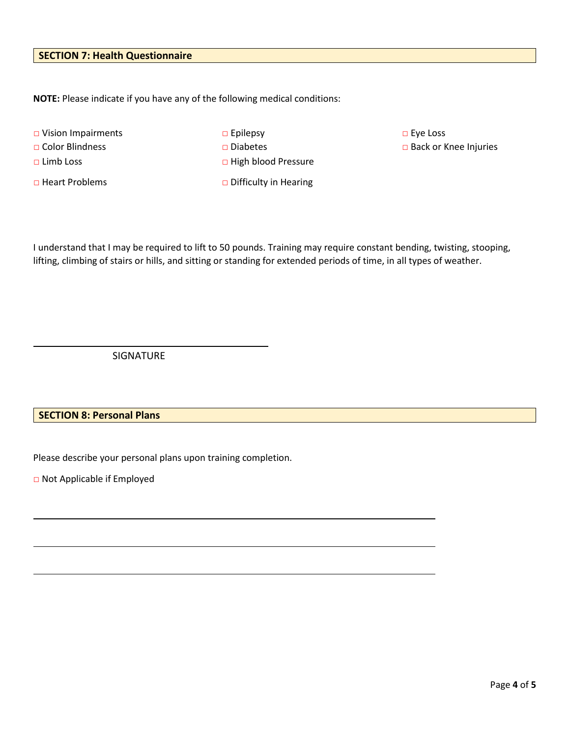### **SECTION 7: Health Questionnaire**

**NOTE:** Please indicate if you have any of the following medical conditions:

□ Heart Problems □ □ Difficulty in Hearing

□ Vision Impairments □ □ Epilepsy □ □ Exe Loss □ Color Blindness □ □ Diabetes □ □ Diabetes □ □ Back or Knee Injuries □ Limb Loss □ Nigh blood Pressure

I understand that I may be required to lift to 50 pounds. Training may require constant bending, twisting, stooping, lifting, climbing of stairs or hills, and sitting or standing for extended periods of time, in all types of weather.

SIGNATURE

#### **SECTION 8: Personal Plans**

Please describe your personal plans upon training completion.

□ Not Applicable if Employed